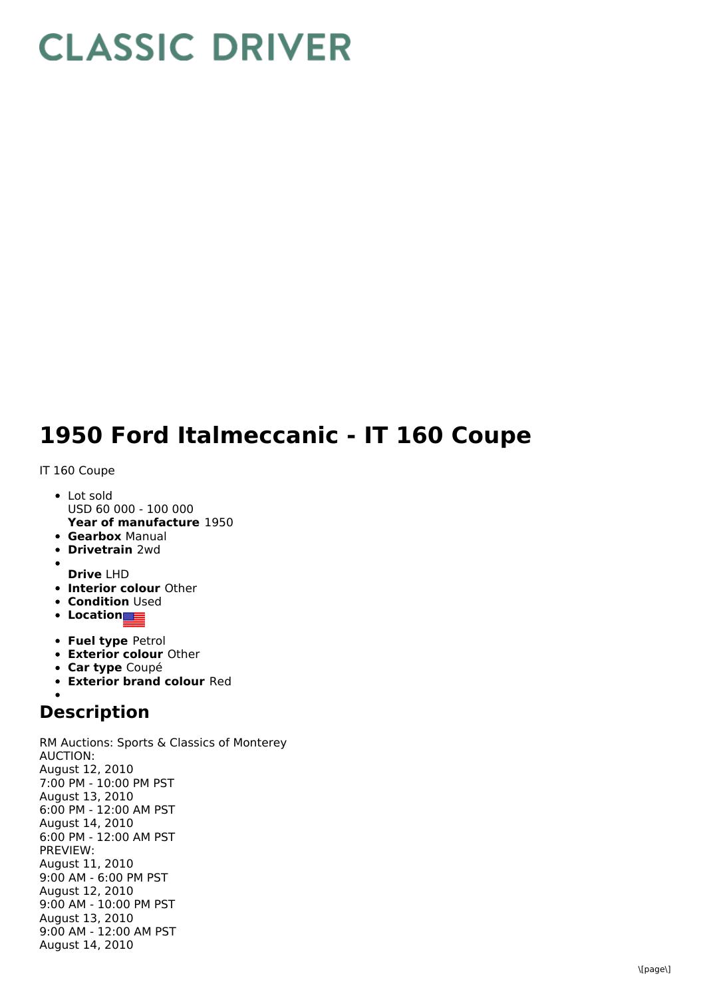## **CLASSIC DRIVER**

## **1950 Ford Italmeccanic - IT 160 Coupe**

## IT 160 Coupe

- **Year of manufacture** 1950 • Lot sold USD 60 000 - 100 000
- **Gearbox** Manual
- **Drivetrain** 2wd
- **Drive** LHD
- **Interior colour** Other
- **Condition Used**
- **•** Location
- **Fuel type** Petrol
- **Exterior colour** Other
- **Car type** Coupé
- **Exterior brand colour** Red

## **Description**

RM Auctions: Sports & Classics of Monterey AUCTION: August 12, 2010 7:00 PM - 10:00 PM PST August 13, 2010 6:00 PM - 12:00 AM PST August 14, 2010 6:00 PM - 12:00 AM PST PREVIEW: August 11, 2010 9:00 AM - 6:00 PM PST August 12, 2010 9:00 AM - 10:00 PM PST August 13, 2010 9:00 AM - 12:00 AM PST August 14, 2010